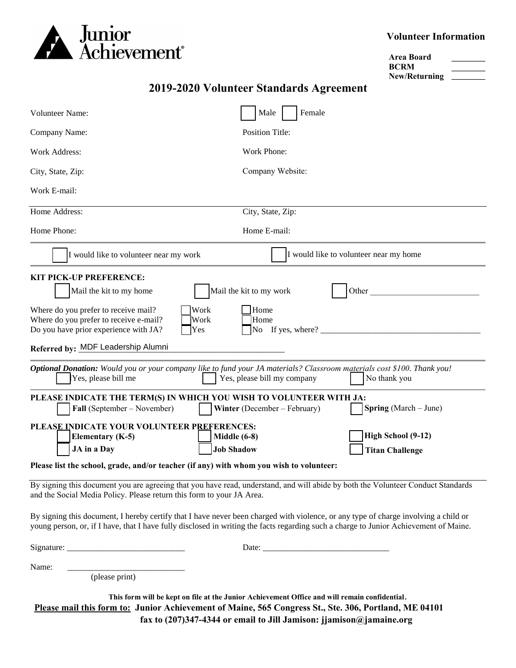

### **Volunteer Information**

| Area Board           |  |
|----------------------|--|
| <b>BCRM</b>          |  |
| <b>New/Returning</b> |  |

## **2019-2020 Volunteer Standards Agreement**

| Volunteer Name:                                                                                                                                                                                                                                                                                                                                                                                                                                                                                                                                                                                                                                                                                                                                                                                                                                     | Male<br>Female                         |  |
|-----------------------------------------------------------------------------------------------------------------------------------------------------------------------------------------------------------------------------------------------------------------------------------------------------------------------------------------------------------------------------------------------------------------------------------------------------------------------------------------------------------------------------------------------------------------------------------------------------------------------------------------------------------------------------------------------------------------------------------------------------------------------------------------------------------------------------------------------------|----------------------------------------|--|
| Company Name:                                                                                                                                                                                                                                                                                                                                                                                                                                                                                                                                                                                                                                                                                                                                                                                                                                       | <b>Position Title:</b>                 |  |
| Work Address:                                                                                                                                                                                                                                                                                                                                                                                                                                                                                                                                                                                                                                                                                                                                                                                                                                       | Work Phone:                            |  |
| City, State, Zip:                                                                                                                                                                                                                                                                                                                                                                                                                                                                                                                                                                                                                                                                                                                                                                                                                                   | Company Website:                       |  |
| Work E-mail:                                                                                                                                                                                                                                                                                                                                                                                                                                                                                                                                                                                                                                                                                                                                                                                                                                        |                                        |  |
| Home Address:                                                                                                                                                                                                                                                                                                                                                                                                                                                                                                                                                                                                                                                                                                                                                                                                                                       | City, State, Zip:                      |  |
| Home Phone:                                                                                                                                                                                                                                                                                                                                                                                                                                                                                                                                                                                                                                                                                                                                                                                                                                         | Home E-mail:                           |  |
| I would like to volunteer near my work                                                                                                                                                                                                                                                                                                                                                                                                                                                                                                                                                                                                                                                                                                                                                                                                              | I would like to volunteer near my home |  |
| <b>KIT PICK-UP PREFERENCE:</b><br>Mail the kit to my work<br>Mail the kit to my home<br>Other<br>Work<br>Home<br>Where do you prefer to receive mail?<br>Where do you prefer to receive e-mail?<br>Work<br>Home<br>Do you have prior experience with JA?<br>No If yes, where? $\frac{1}{\sqrt{1-\frac{1}{2}}}\$<br>Yes<br>Referred by: MDF Leadership Alumni<br>Optional Donation: Would you or your company like to fund your JA materials? Classroom materials cost \$100. Thank you!<br>Yes, please bill me<br>Yes, please bill my company<br>No thank you<br>PLEASE INDICATE THE TERM(S) IN WHICH YOU WISH TO VOLUNTEER WITH JA:<br>Fall (September – November)<br>Winter (December – February)<br><b>Spring</b> (March – June)<br>PLEASE INDICATE YOUR VOLUNTEER PREFERENCES:<br>High School (9-12)<br><b>Elementary (K-5)</b><br>Middle (6-8) |                                        |  |
| <b>Job Shadow</b><br>JA in a Day<br><b>Titan Challenge</b><br>Please list the school, grade, and/or teacher (if any) with whom you wish to volunteer:                                                                                                                                                                                                                                                                                                                                                                                                                                                                                                                                                                                                                                                                                               |                                        |  |
| By signing this document you are agreeing that you have read, understand, and will abide by both the Volunteer Conduct Standards<br>and the Social Media Policy. Please return this form to your JA Area.<br>By signing this document, I hereby certify that I have never been charged with violence, or any type of charge involving a child or<br>young person, or, if I have, that I have fully disclosed in writing the facts regarding such a charge to Junior Achievement of Maine.                                                                                                                                                                                                                                                                                                                                                           |                                        |  |
|                                                                                                                                                                                                                                                                                                                                                                                                                                                                                                                                                                                                                                                                                                                                                                                                                                                     |                                        |  |
| Name:<br>(please print)                                                                                                                                                                                                                                                                                                                                                                                                                                                                                                                                                                                                                                                                                                                                                                                                                             |                                        |  |

**This form will be kept on file at the Junior Achievement Office and will remain confidential**. **Please mail this form to: Junior Achievement of Maine, 565 Congress St., Ste. 306, Portland, ME 04101 fax to (207)347-4344 or email to Jill Jamison: jjamison@jamaine.org**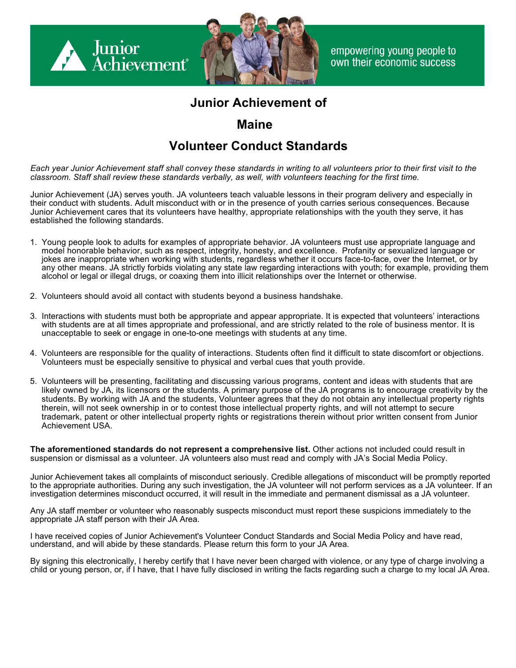

empowering young people to own their economic success

# **Junior Achievement of**

## **Maine**

# **Volunteer Conduct Standards**

Each year Junior Achievement staff shall convey these standards in writing to all volunteers prior to their first visit to the *classroom. Staff shall review these standards verbally, as well, with volunteers teaching for the first time.*

Junior Achievement (JA) serves youth. JA volunteers teach valuable lessons in their program delivery and especially in their conduct with students. Adult misconduct with or in the presence of youth carries serious consequences. Because Junior Achievement cares that its volunteers have healthy, appropriate relationships with the youth they serve, it has established the following standards.

- 1. Young people look to adults for examples of appropriate behavior. JA volunteers must use appropriate language and model honorable behavior, such as respect, integrity, honesty, and excellence. Profanity or sexualized language or jokes are inappropriate when working with students, regardless whether it occurs face-to-face, over the Internet, or by any other means. JA strictly forbids violating any state law regarding interactions with youth; for example, providing them alcohol or legal or illegal drugs, or coaxing them into illicit relationships over the Internet or otherwise.
- 2. Volunteers should avoid all contact with students beyond a business handshake.
- 3. Interactions with students must both be appropriate and appear appropriate. It is expected that volunteers' interactions with students are at all times appropriate and professional, and are strictly related to the role of business mentor. It is unacceptable to seek or engage in one-to-one meetings with students at any time.
- 4. Volunteers are responsible for the quality of interactions. Students often find it difficult to state discomfort or objections. Volunteers must be especially sensitive to physical and verbal cues that youth provide.
- 5. Volunteers will be presenting, facilitating and discussing various programs, content and ideas with students that are likely owned by JA, its licensors or the students. A primary purpose of the JA programs is to encourage creativity by the students. By working with JA and the students, Volunteer agrees that they do not obtain any intellectual property rights therein, will not seek ownership in or to contest those intellectual property rights, and will not attempt to secure trademark, patent or other intellectual property rights or registrations therein without prior written consent from Junior Achievement USA.

**The aforementioned standards do not represent a comprehensive list.** Other actions not included could result in suspension or dismissal as a volunteer. JA volunteers also must read and comply with JA's Social Media Policy.

Junior Achievement takes all complaints of misconduct seriously. Credible allegations of misconduct will be promptly reported to the appropriate authorities. During any such investigation, the JA volunteer will not perform services as a JA volunteer. If an investigation determines misconduct occurred, it will result in the immediate and permanent dismissal as a JA volunteer.

Any JA staff member or volunteer who reasonably suspects misconduct must report these suspicions immediately to the appropriate JA staff person with their JA Area.

I have received copies of Junior Achievement's Volunteer Conduct Standards and Social Media Policy and have read, understand, and will abide by these standards. Please return this form to your JA Area.

By signing this electronically, I hereby certify that I have never been charged with violence, or any type of charge involving a child or young person, or, if I have, that I have fully disclosed in writing the facts regarding such a charge to my local JA Area.